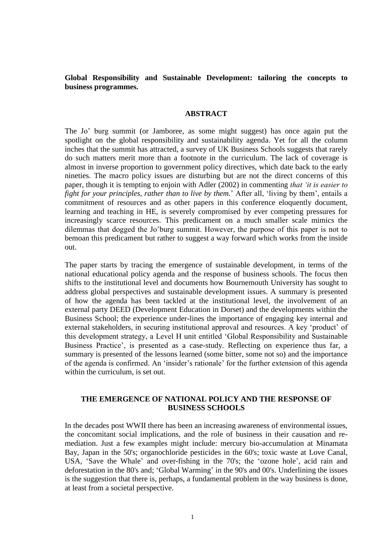### **Global Responsibility and Sustainable Development: tailoring the concepts to business programmes.**

#### **ABSTRACT**

The Jo' burg summit (or Jamboree, as some might suggest) has once again put the spotlight on the global responsibility and sustainability agenda. Yet for all the column inches that the summit has attracted, a survey of UK Business Schools suggests that rarely do such matters merit more than a footnote in the curriculum. The lack of coverage is almost in inverse proportion to government policy directives, which date back to the early nineties. The macro policy issues are disturbing but are not the direct concerns of this paper, though it is tempting to enjoin with Adler (2002) in commenting *that 'it is easier to fight for your principles, rather than to live by them.*' After all, 'living by them', entails a commitment of resources and as other papers in this conference eloquently document, learning and teaching in HE, is severely compromised by ever competing pressures for increasingly scarce resources. This predicament on a much smaller scale mimics the dilemmas that dogged the Jo'burg summit. However, the purpose of this paper is not to bemoan this predicament but rather to suggest a way forward which works from the inside out.

The paper starts by tracing the emergence of sustainable development, in terms of the national educational policy agenda and the response of business schools. The focus then shifts to the institutional level and documents how Bournemouth University has sought to address global perspectives and sustainable development issues. A summary is presented of how the agenda has been tackled at the institutional level, the involvement of an external party DEED (Development Education in Dorset) and the developments within the Business School; the experience under-lines the importance of engaging key internal and external stakeholders, in securing institutional approval and resources. A key 'product' of this development strategy, a Level H unit entitled 'Global Responsibility and Sustainable Business Practice', is presented as a case-study. Reflecting on experience thus far, a summary is presented of the lessons learned (some bitter, some not so) and the importance of the agenda is confirmed. An 'insider's rationale' for the further extension of this agenda within the curriculum, is set out.

#### **THE EMERGENCE OF NATIONAL POLICY AND THE RESPONSE OF BUSINESS SCHOOLS**

In the decades post WWII there has been an increasing awareness of environmental issues, the concomitant social implications, and the role of business in their causation and remediation. Just a few examples might include: mercury bio-accumulation at Minamata Bay, Japan in the 50's; organochloride pesticides in the 60's; toxic waste at Love Canal, USA, 'Save the Whale' and over-fishing in the 70's; the 'ozone hole', acid rain and deforestation in the 80's and; 'Global Warming' in the 90's and 00's. Underlining the issues is the suggestion that there is, perhaps, a fundamental problem in the way business is done, at least from a societal perspective.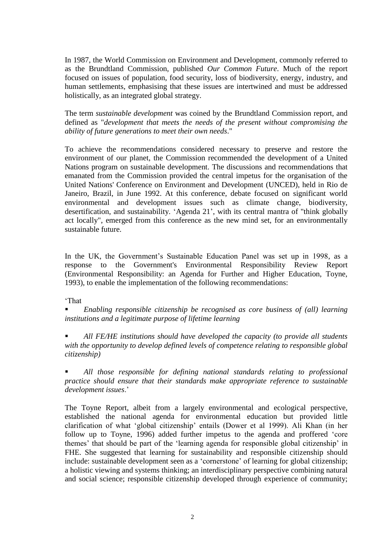In 1987, the World Commission on Environment and Development, commonly referred to as the Brundtland Commission, published *Our Common Future*. Much of the report focused on issues of population, food security, loss of biodiversity, energy, industry, and human settlements, emphasising that these issues are intertwined and must be addressed holistically, as an integrated global strategy.

The term *sustainable development* was coined by the Brundtland Commission report, and defined as "*development that meets the needs of the present without compromising the ability of future generations to meet their own needs*."

To achieve the recommendations considered necessary to preserve and restore the environment of our planet, the Commission recommended the development of a United Nations program on sustainable development. The discussions and recommendations that emanated from the Commission provided the central impetus for the organisation of the United Nations' Conference on Environment and Development (UNCED), held in Rio de Janeiro, Brazil, in June 1992. At this conference, debate focused on significant world environmental and development issues such as climate change, biodiversity, desertification, and sustainability. 'Agenda 21', with its central mantra of "think globally act locally", emerged from this conference as the new mind set, for an environmentally sustainable future.

In the UK, the Government's Sustainable Education Panel was set up in 1998, as a response to the Government's Environmental Responsibility Review Report (Environmental Responsibility: an Agenda for Further and Higher Education, Toyne, 1993), to enable the implementation of the following recommendations:

'That

 *Enabling responsible citizenship be recognised as core business of (all) learning institutions and a legitimate purpose of lifetime learning*

 *All FE/HE institutions should have developed the capacity (to provide all students with the opportunity to develop defined levels of competence relating to responsible global citizenship)*

 *All those responsible for defining national standards relating to professional practice should ensure that their standards make appropriate reference to sustainable development issues*.'

The Toyne Report, albeit from a largely environmental and ecological perspective, established the national agenda for environmental education but provided little clarification of what 'global citizenship' entails (Dower et al 1999). Ali Khan (in her follow up to Toyne, 1996) added further impetus to the agenda and proffered 'core themes' that should be part of the 'learning agenda for responsible global citizenship' in FHE. She suggested that learning for sustainability and responsible citizenship should include: sustainable development seen as a 'cornerstone' of learning for global citizenship; a holistic viewing and systems thinking; an interdisciplinary perspective combining natural and social science; responsible citizenship developed through experience of community;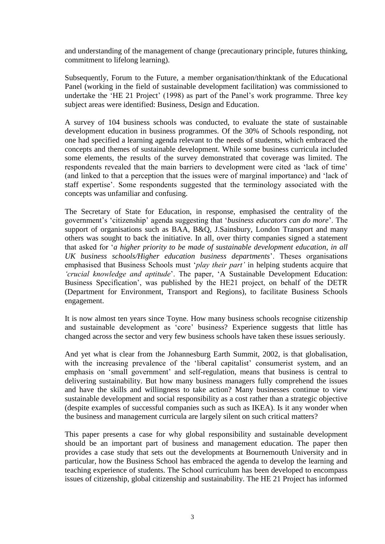and understanding of the management of change (precautionary principle, futures thinking, commitment to lifelong learning).

Subsequently, Forum to the Future, a member organisation/thinktank of the Educational Panel (working in the field of sustainable development facilitation) was commissioned to undertake the 'HE 21 Project' (1998) as part of the Panel's work programme. Three key subject areas were identified: Business, Design and Education.

A survey of 104 business schools was conducted, to evaluate the state of sustainable development education in business programmes. Of the 30% of Schools responding, not one had specified a learning agenda relevant to the needs of students, which embraced the concepts and themes of sustainable development. While some business curricula included some elements, the results of the survey demonstrated that coverage was limited. The respondents revealed that the main barriers to development were cited as 'lack of time' (and linked to that a perception that the issues were of marginal importance) and 'lack of staff expertise'. Some respondents suggested that the terminology associated with the concepts was unfamiliar and confusing.

The Secretary of State for Education, in response, emphasised the centrality of the government's 'citizenship' agenda suggesting that '*business educators can do more*'. The support of organisations such as BAA, B&Q, J.Sainsbury, London Transport and many others was sought to back the initiative. In all, over thirty companies signed a statement that asked for '*a higher priority to be made of sustainable development education, in all UK business schools/Higher education business departments*'. Theses organisations emphasised that Business Schools must '*play their part'* in helping students acquire that *'crucial knowledge and aptitude*'. The paper, 'A Sustainable Development Education: Business Specification', was published by the HE21 project, on behalf of the DETR (Department for Environment, Transport and Regions), to facilitate Business Schools engagement.

It is now almost ten years since Toyne. How many business schools recognise citizenship and sustainable development as 'core' business? Experience suggests that little has changed across the sector and very few business schools have taken these issues seriously.

And yet what is clear from the Johannesburg Earth Summit, 2002, is that globalisation, with the increasing prevalence of the 'liberal capitalist' consumerist system, and an emphasis on 'small government' and self-regulation, means that business is central to delivering sustainability. But how many business managers fully comprehend the issues and have the skills and willingness to take action? Many businesses continue to view sustainable development and social responsibility as a cost rather than a strategic objective (despite examples of successful companies such as such as IKEA). Is it any wonder when the business and management curricula are largely silent on such critical matters?

This paper presents a case for why global responsibility and sustainable development should be an important part of business and management education. The paper then provides a case study that sets out the developments at Bournemouth University and in particular, how the Business School has embraced the agenda to develop the learning and teaching experience of students. The School curriculum has been developed to encompass issues of citizenship, global citizenship and sustainability. The HE 21 Project has informed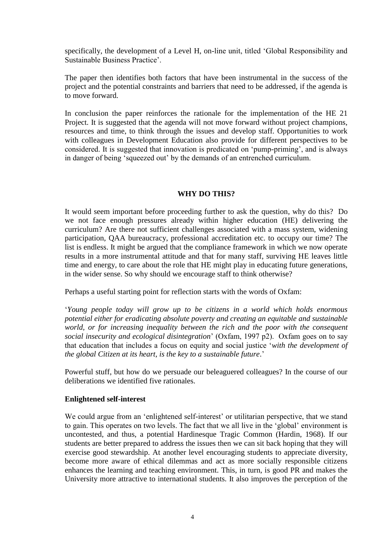specifically, the development of a Level H, on-line unit, titled 'Global Responsibility and Sustainable Business Practice'.

The paper then identifies both factors that have been instrumental in the success of the project and the potential constraints and barriers that need to be addressed, if the agenda is to move forward.

In conclusion the paper reinforces the rationale for the implementation of the HE 21 Project. It is suggested that the agenda will not move forward without project champions, resources and time, to think through the issues and develop staff. Opportunities to work with colleagues in Development Education also provide for different perspectives to be considered. It is suggested that innovation is predicated on 'pump-priming', and is always in danger of being 'squeezed out' by the demands of an entrenched curriculum.

### **WHY DO THIS?**

It would seem important before proceeding further to ask the question, why do this? Do we not face enough pressures already within higher education (HE) delivering the curriculum? Are there not sufficient challenges associated with a mass system, widening participation, QAA bureaucracy, professional accreditation etc. to occupy our time? The list is endless. It might be argued that the compliance framework in which we now operate results in a more instrumental attitude and that for many staff, surviving HE leaves little time and energy, to care about the role that HE might play in educating future generations, in the wider sense. So why should we encourage staff to think otherwise?

Perhaps a useful starting point for reflection starts with the words of Oxfam:

'*Young people today will grow up to be citizens in a world which holds enormous potential either for eradicating absolute poverty and creating an equitable and sustainable world, or for increasing inequality between the rich and the poor with the consequent social insecurity and ecological disintegration*' (Oxfam, 1997 p2). Oxfam goes on to say that education that includes a focus on equity and social justice '*with the development of the global Citizen at its heart, is the key to a sustainable future*.'

Powerful stuff, but how do we persuade our beleaguered colleagues? In the course of our deliberations we identified five rationales.

### **Enlightened self-interest**

We could argue from an 'enlightened self-interest' or utilitarian perspective, that we stand to gain. This operates on two levels. The fact that we all live in the 'global' environment is uncontested, and thus, a potential Hardinesque Tragic Common (Hardin, 1968). If our students are better prepared to address the issues then we can sit back hoping that they will exercise good stewardship. At another level encouraging students to appreciate diversity, become more aware of ethical dilemmas and act as more socially responsible citizens enhances the learning and teaching environment. This, in turn, is good PR and makes the University more attractive to international students. It also improves the perception of the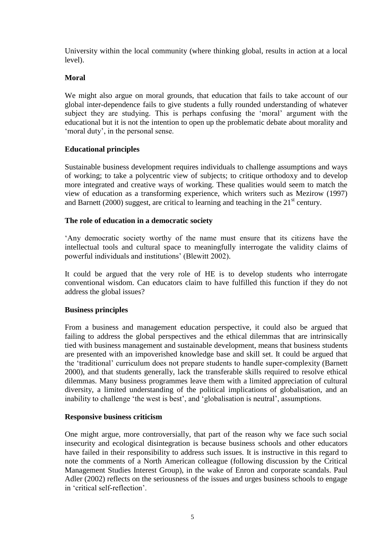University within the local community (where thinking global, results in action at a local level).

## **Moral**

We might also argue on moral grounds, that education that fails to take account of our global inter-dependence fails to give students a fully rounded understanding of whatever subject they are studying. This is perhaps confusing the 'moral' argument with the educational but it is not the intention to open up the problematic debate about morality and 'moral duty', in the personal sense.

### **Educational principles**

Sustainable business development requires individuals to challenge assumptions and ways of working; to take a polycentric view of subjects; to critique orthodoxy and to develop more integrated and creative ways of working. These qualities would seem to match the view of education as a transforming experience, which writers such as Mezirow (1997) and Barnett (2000) suggest, are critical to learning and teaching in the  $21<sup>st</sup>$  century.

### **The role of education in a democratic society**

'Any democratic society worthy of the name must ensure that its citizens have the intellectual tools and cultural space to meaningfully interrogate the validity claims of powerful individuals and institutions' (Blewitt 2002).

It could be argued that the very role of HE is to develop students who interrogate conventional wisdom. Can educators claim to have fulfilled this function if they do not address the global issues?

### **Business principles**

From a business and management education perspective, it could also be argued that failing to address the global perspectives and the ethical dilemmas that are intrinsically tied with business management and sustainable development, means that business students are presented with an impoverished knowledge base and skill set. It could be argued that the 'traditional' curriculum does not prepare students to handle super-complexity (Barnett 2000), and that students generally, lack the transferable skills required to resolve ethical dilemmas. Many business programmes leave them with a limited appreciation of cultural diversity, a limited understanding of the political implications of globalisation, and an inability to challenge 'the west is best', and 'globalisation is neutral', assumptions.

### **Responsive business criticism**

One might argue, more controversially, that part of the reason why we face such social insecurity and ecological disintegration is because business schools and other educators have failed in their responsibility to address such issues. It is instructive in this regard to note the comments of a North American colleague (following discussion by the Critical Management Studies Interest Group), in the wake of Enron and corporate scandals. Paul Adler (2002) reflects on the seriousness of the issues and urges business schools to engage in 'critical self-reflection'.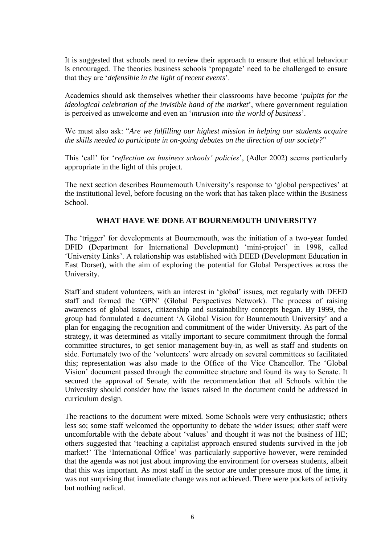It is suggested that schools need to review their approach to ensure that ethical behaviour is encouraged. The theories business schools 'propagate' need to be challenged to ensure that they are '*defensible in the light of recent events*'.

Academics should ask themselves whether their classrooms have become '*pulpits for the ideological celebration of the invisible hand of the market*', where government regulation is perceived as unwelcome and even an '*intrusion into the world of business*'.

We must also ask: "*Are we fulfilling our highest mission in helping our students acquire the skills needed to participate in on-going debates on the direction of our society?*"

This 'call' for '*reflection on business schools' policies*', (Adler 2002) seems particularly appropriate in the light of this project.

The next section describes Bournemouth University's response to 'global perspectives' at the institutional level, before focusing on the work that has taken place within the Business School.

### **WHAT HAVE WE DONE AT BOURNEMOUTH UNIVERSITY?**

The 'trigger' for developments at Bournemouth, was the initiation of a two-year funded DFID (Department for International Development) 'mini-project' in 1998, called 'University Links'. A relationship was established with DEED (Development Education in East Dorset), with the aim of exploring the potential for Global Perspectives across the University.

Staff and student volunteers, with an interest in 'global' issues, met regularly with DEED staff and formed the 'GPN' (Global Perspectives Network). The process of raising awareness of global issues, citizenship and sustainability concepts began. By 1999, the group had formulated a document 'A Global Vision for Bournemouth University' and a plan for engaging the recognition and commitment of the wider University. As part of the strategy, it was determined as vitally important to secure commitment through the formal committee structures, to get senior management buy-in, as well as staff and students on side. Fortunately two of the 'volunteers' were already on several committees so facilitated this; representation was also made to the Office of the Vice Chancellor. The 'Global Vision' document passed through the committee structure and found its way to Senate. It secured the approval of Senate, with the recommendation that all Schools within the University should consider how the issues raised in the document could be addressed in curriculum design.

The reactions to the document were mixed. Some Schools were very enthusiastic; others less so; some staff welcomed the opportunity to debate the wider issues; other staff were uncomfortable with the debate about 'values' and thought it was not the business of HE; others suggested that 'teaching a capitalist approach ensured students survived in the job market!' The 'International Office' was particularly supportive however, were reminded that the agenda was not just about improving the environment for overseas students, albeit that this was important. As most staff in the sector are under pressure most of the time, it was not surprising that immediate change was not achieved. There were pockets of activity but nothing radical.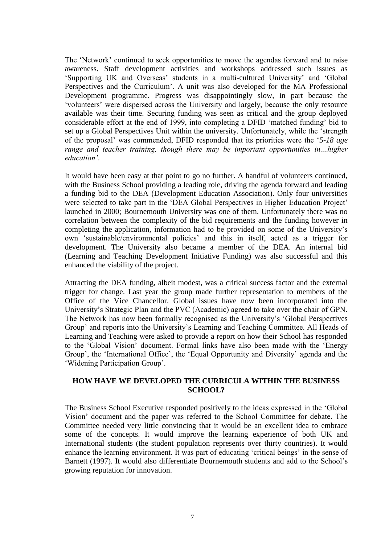The 'Network' continued to seek opportunities to move the agendas forward and to raise awareness. Staff development activities and workshops addressed such issues as 'Supporting UK and Overseas' students in a multi-cultured University' and 'Global Perspectives and the Curriculum'. A unit was also developed for the MA Professional Development programme. Progress was disappointingly slow, in part because the 'volunteers' were dispersed across the University and largely, because the only resource available was their time. Securing funding was seen as critical and the group deployed considerable effort at the end of 1999, into completing a DFID 'matched funding' bid to set up a Global Perspectives Unit within the university. Unfortunately, while the 'strength of the proposal' was commended, DFID responded that its priorities were the '*5-18 age range and teacher training, though there may be important opportunities in...higher education'*.

It would have been easy at that point to go no further. A handful of volunteers continued, with the Business School providing a leading role, driving the agenda forward and leading a funding bid to the DEA (Development Education Association). Only four universities were selected to take part in the 'DEA Global Perspectives in Higher Education Project' launched in 2000; Bournemouth University was one of them. Unfortunately there was no correlation between the complexity of the bid requirements and the funding however in completing the application, information had to be provided on some of the University's own 'sustainable/environmental policies' and this in itself, acted as a trigger for development. The University also became a member of the DEA. An internal bid (Learning and Teaching Development Initiative Funding) was also successful and this enhanced the viability of the project.

Attracting the DEA funding, albeit modest, was a critical success factor and the external trigger for change. Last year the group made further representation to members of the Office of the Vice Chancellor. Global issues have now been incorporated into the University's Strategic Plan and the PVC (Academic) agreed to take over the chair of GPN. The Network has now been formally recognised as the University's 'Global Perspectives Group' and reports into the University's Learning and Teaching Committee. All Heads of Learning and Teaching were asked to provide a report on how their School has responded to the 'Global Vision' document. Formal links have also been made with the 'Energy Group', the 'International Office', the 'Equal Opportunity and Diversity' agenda and the 'Widening Participation Group'.

### **HOW HAVE WE DEVELOPED THE CURRICULA WITHIN THE BUSINESS SCHOOL?**

The Business School Executive responded positively to the ideas expressed in the 'Global Vision' document and the paper was referred to the School Committee for debate. The Committee needed very little convincing that it would be an excellent idea to embrace some of the concepts. It would improve the learning experience of both UK and International students (the student population represents over thirty countries). It would enhance the learning environment. It was part of educating 'critical beings' in the sense of Barnett (1997). It would also differentiate Bournemouth students and add to the School's growing reputation for innovation.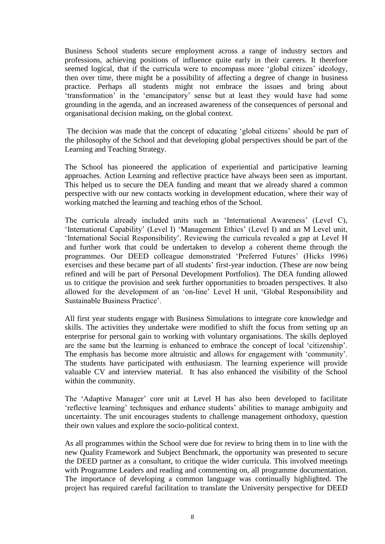Business School students secure employment across a range of industry sectors and professions, achieving positions of influence quite early in their careers. It therefore seemed logical, that if the curricula were to encompass more 'global citizen' ideology, then over time, there might be a possibility of affecting a degree of change in business practice. Perhaps all students might not embrace the issues and bring about 'transformation' in the 'emancipatory' sense but at least they would have had some grounding in the agenda, and an increased awareness of the consequences of personal and organisational decision making, on the global context.

The decision was made that the concept of educating 'global citizens' should be part of the philosophy of the School and that developing global perspectives should be part of the Learning and Teaching Strategy.

The School has pioneered the application of experiential and participative learning approaches. Action Learning and reflective practice have always been seen as important. This helped us to secure the DEA funding and meant that we already shared a common perspective with our new contacts working in development education, where their way of working matched the learning and teaching ethos of the School.

The curricula already included units such as 'International Awareness' (Level C), 'International Capability' (Level I) 'Management Ethics' (Level I) and an M Level unit, 'International Social Responsibility'. Reviewing the curricula revealed a gap at Level H and further work that could be undertaken to develop a coherent theme through the programmes. Our DEED colleague demonstrated 'Preferred Futures' (Hicks 1996) exercises and these became part of all students' first-year induction. (These are now being refined and will be part of Personal Development Portfolios). The DEA funding allowed us to critique the provision and seek further opportunities to broaden perspectives. It also allowed for the development of an 'on-line' Level H unit, 'Global Responsibility and Sustainable Business Practice'.

All first year students engage with Business Simulations to integrate core knowledge and skills. The activities they undertake were modified to shift the focus from setting up an enterprise for personal gain to working with voluntary organisations. The skills deployed are the same but the learning is enhanced to embrace the concept of local 'citizenship'. The emphasis has become more altruistic and allows for engagement with 'community'. The students have participated with enthusiasm. The learning experience will provide valuable CV and interview material. It has also enhanced the visibility of the School within the community.

The 'Adaptive Manager' core unit at Level H has also been developed to facilitate 'reflective learning' techniques and enhance students' abilities to manage ambiguity and uncertainty. The unit encourages students to challenge management orthodoxy, question their own values and explore the socio-political context.

As all programmes within the School were due for review to bring them in to line with the new Quality Framework and Subject Benchmark, the opportunity was presented to secure the DEED partner as a consultant, to critique the wider curricula. This involved meetings with Programme Leaders and reading and commenting on, all programme documentation. The importance of developing a common language was continually highlighted. The project has required careful facilitation to translate the University perspective for DEED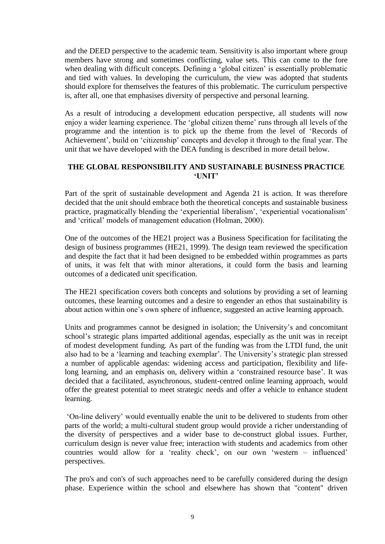and the DEED perspective to the academic team. Sensitivity is also important where group members have strong and sometimes conflicting, value sets. This can come to the fore when dealing with difficult concepts. Defining a 'global citizen' is essentially problematic and tied with values. In developing the curriculum, the view was adopted that students should explore for themselves the features of this problematic. The curriculum perspective is, after all, one that emphasises diversity of perspective and personal learning.

As a result of introducing a development education perspective, all students will now enjoy a wider learning experience. The 'global citizen theme' runs through all levels of the programme and the intention is to pick up the theme from the level of 'Records of Achievement', build on 'citizenship' concepts and develop it through to the final year. The unit that we have developed with the DEA funding is described in more detail below.

### **THE GLOBAL RESPONSIBILITY AND SUSTAINABLE BUSINESS PRACTICE 'UNIT'**

Part of the sprit of sustainable development and Agenda 21 is action. It was therefore decided that the unit should embrace both the theoretical concepts and sustainable business practice, pragmatically blending the 'experiential liberalism', 'experiential vocationalism' and 'critical' models of management education (Holman, 2000).

One of the outcomes of the HE21 project was a Business Specification for facilitating the design of business programmes (HE21, 1999). The design team reviewed the specification and despite the fact that it had been designed to be embedded within programmes as parts of units, it was felt that with minor alterations, it could form the basis and learning outcomes of a dedicated unit specification.

The HE21 specification covers both concepts and solutions by providing a set of learning outcomes, these learning outcomes and a desire to engender an ethos that sustainability is about action within one's own sphere of influence, suggested an active learning approach.

Units and programmes cannot be designed in isolation; the University's and concomitant school's strategic plans imparted additional agendas, especially as the unit was in receipt of modest development funding. As part of the funding was from the LTDI fund, the unit also had to be a 'learning and teaching exemplar'. The University's strategic plan stressed a number of applicable agendas: widening access and participation, flexibility and lifelong learning, and an emphasis on, delivery within a 'constrained resource base'. It was decided that a facilitated, asynchronous, student-centred online learning approach, would offer the greatest potential to meet strategic needs and offer a vehicle to enhance student learning.

'On-line delivery' would eventually enable the unit to be delivered to students from other parts of the world; a multi-cultural student group would provide a richer understanding of the diversity of perspectives and a wider base to de-construct global issues. Further, curriculum design is never value free; interaction with students and academics from other countries would allow for a 'reality check', on our own 'western – influenced' perspectives.

The pro's and con's of such approaches need to be carefully considered during the design phase. Experience within the school and elsewhere has shown that "content" driven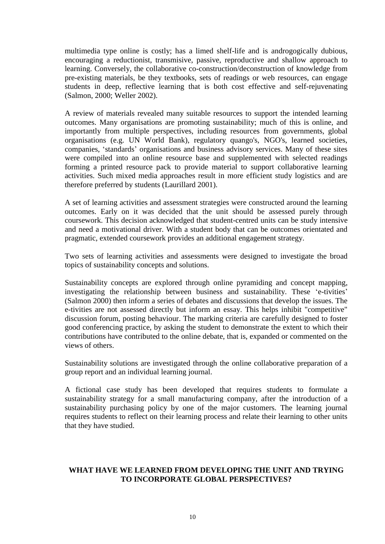multimedia type online is costly; has a limed shelf-life and is androgogically dubious, encouraging a reductionist, transmisive, passive, reproductive and shallow approach to learning. Conversely, the collaborative co-construction/deconstruction of knowledge from pre-existing materials, be they textbooks, sets of readings or web resources, can engage students in deep, reflective learning that is both cost effective and self-rejuvenating (Salmon, 2000; Weller 2002).

A review of materials revealed many suitable resources to support the intended learning outcomes. Many organisations are promoting sustainability; much of this is online, and importantly from multiple perspectives, including resources from governments, global organisations (e.g. UN World Bank), regulatory quango's, NGO's, learned societies, companies, 'standards' organisations and business advisory services. Many of these sites were compiled into an online resource base and supplemented with selected readings forming a printed resource pack to provide material to support collaborative learning activities. Such mixed media approaches result in more efficient study logistics and are therefore preferred by students (Laurillard 2001).

A set of learning activities and assessment strategies were constructed around the learning outcomes. Early on it was decided that the unit should be assessed purely through coursework. This decision acknowledged that student-centred units can be study intensive and need a motivational driver. With a student body that can be outcomes orientated and pragmatic, extended coursework provides an additional engagement strategy.

Two sets of learning activities and assessments were designed to investigate the broad topics of sustainability concepts and solutions.

Sustainability concepts are explored through online pyramiding and concept mapping, investigating the relationship between business and sustainability. These 'e-tivities' (Salmon 2000) then inform a series of debates and discussions that develop the issues. The e-tivities are not assessed directly but inform an essay. This helps inhibit "competitive" discussion forum, posting behaviour. The marking criteria are carefully designed to foster good conferencing practice, by asking the student to demonstrate the extent to which their contributions have contributed to the online debate, that is, expanded or commented on the views of others.

Sustainability solutions are investigated through the online collaborative preparation of a group report and an individual learning journal.

A fictional case study has been developed that requires students to formulate a sustainability strategy for a small manufacturing company, after the introduction of a sustainability purchasing policy by one of the major customers. The learning journal requires students to reflect on their learning process and relate their learning to other units that they have studied.

### **WHAT HAVE WE LEARNED FROM DEVELOPING THE UNIT AND TRYING TO INCORPORATE GLOBAL PERSPECTIVES?**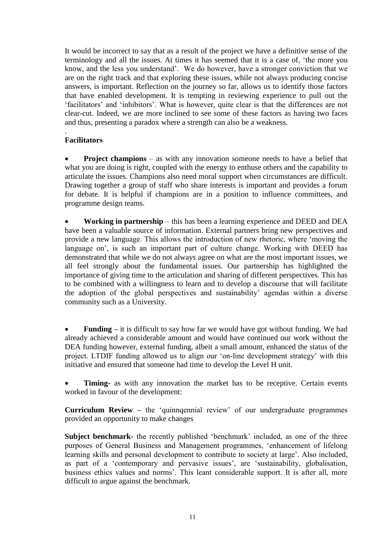It would be incorrect to say that as a result of the project we have a definitive sense of the terminology and all the issues. At times it has seemed that it is a case of, 'the more you know, and the less you understand'. We do however, have a stronger conviction that we are on the right track and that exploring these issues, while not always producing concise answers, is important. Reflection on the journey so far, allows us to identify those factors that have enabled development. It is tempting in reviewing experience to pull out the 'facilitators' and 'inhibitors'. What is however, quite clear is that the differences are not clear-cut. Indeed, we are more inclined to see some of these factors as having two faces and thus, presenting a paradox where a strength can also be a weakness.

### . **Facilitators**

**Project champions** – as with any innovation someone needs to have a belief that what you are doing is right, coupled with the energy to enthuse others and the capability to articulate the issues. Champions also need moral support when circumstances are difficult. Drawing together a group of staff who share interests is important and provides a forum for debate. It is helpful if champions are in a position to influence committees, and programme design teams.

 **Working in partnership** – this has been a learning experience and DEED and DEA have been a valuable source of information. External partners bring new perspectives and provide a new language. This allows the introduction of new rhetoric, where 'moving the language on', is such an important part of culture change. Working with DEED has demonstrated that while we do not always agree on what are the most important issues, we all feel strongly about the fundamental issues. Our partnership has highlighted the importance of giving time to the articulation and sharing of different perspectives. This has to be combined with a willingness to learn and to develop a discourse that will facilitate the adoption of the global perspectives and sustainability' agendas within a diverse community such as a University.

 **Funding –** it is difficult to say how far we would have got without funding. We had already achieved a considerable amount and would have continued our work without the DEA funding however, external funding, albeit a small amount, enhanced the status of the project. LTDIF funding allowed us to align our 'on-line development strategy' with this initiative and ensured that someone had time to develop the Level H unit.

**Timing-** as with any innovation the market has to be receptive. Certain events worked in favour of the development:

**Curriculum Review –** the 'quinnqennial review' of our undergraduate programmes provided an opportunity to make changes

**Subject benchmark-** the recently published 'benchmark' included, as one of the three purposes of General Business and Management programmes, 'enhancement of lifelong learning skills and personal development to contribute to society at large'. Also included, as part of a 'contemporary and pervasive issues', are 'sustainability, globalisation, business ethics values and norms'. This leant considerable support. It is after all, more difficult to argue against the benchmark.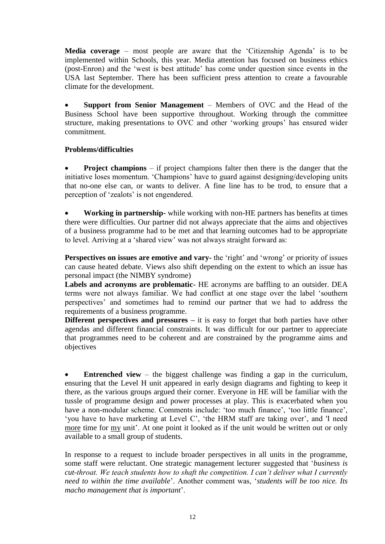**Media coverage** – most people are aware that the 'Citizenship Agenda' is to be implemented within Schools, this year. Media attention has focused on business ethics (post-Enron) and the 'west is best attitude' has come under question since events in the USA last September. There has been sufficient press attention to create a favourable climate for the development.

 **Support from Senior Management** – Members of OVC and the Head of the Business School have been supportive throughout. Working through the committee structure, making presentations to OVC and other 'working groups' has ensured wider commitment.

# **Problems/difficulties**

 **Project champions** – if project champions falter then there is the danger that the initiative loses momentum. 'Champions' have to guard against designing/developing units that no-one else can, or wants to deliver. A fine line has to be trod, to ensure that a perception of 'zealots' is not engendered.

 **Working in partnership-** while working with non-HE partners has benefits at times there were difficulties. Our partner did not always appreciate that the aims and objectives of a business programme had to be met and that learning outcomes had to be appropriate to level. Arriving at a 'shared view' was not always straight forward as:

**Perspectives on issues are emotive and vary-** the 'right' and 'wrong' or priority of issues can cause heated debate. Views also shift depending on the extent to which an issue has personal impact (the NIMBY syndrome)

**Labels and acronyms are problematic-** HE acronyms are baffling to an outsider. DEA terms were not always familiar. We had conflict at one stage over the label 'southern perspectives' and sometimes had to remind our partner that we had to address the requirements of a business programme.

**Different perspectives and pressures** – it is easy to forget that both parties have other agendas and different financial constraints. It was difficult for our partner to appreciate that programmes need to be coherent and are constrained by the programme aims and objectives

 **Entrenched view** – the biggest challenge was finding a gap in the curriculum, ensuring that the Level H unit appeared in early design diagrams and fighting to keep it there, as the various groups argued their corner. Everyone in HE will be familiar with the tussle of programme design and power processes at play. This is exacerbated when you have a non-modular scheme. Comments include: 'too much finance', 'too little finance', 'you have to have marketing at Level C', 'the HRM staff are taking over', and 'I need more time for my unit'. At one point it looked as if the unit would be written out or only available to a small group of students.

In response to a request to include broader perspectives in all units in the programme, some staff were reluctant. One strategic management lecturer suggested that '*business is cut-throat. We teach students how to shaft the competition. I can't deliver what I currently need to within the time available*'. Another comment was, '*students will be too nice. Its macho management that is important*'.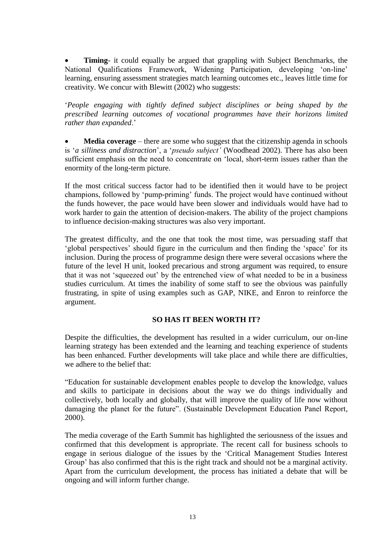**Timing**- it could equally be argued that grappling with Subject Benchmarks, the National Qualifications Framework, Widening Participation, developing 'on-line' learning, ensuring assessment strategies match learning outcomes etc., leaves little time for creativity. We concur with Blewitt (2002) who suggests:

'*People engaging with tightly defined subject disciplines or being shaped by the prescribed learning outcomes of vocational programmes have their horizons limited rather than expanded*.'

 **Media coverage** – there are some who suggest that the citizenship agenda in schools is '*a silliness and distraction*', a '*pseudo subject'* (Woodhead 2002). There has also been sufficient emphasis on the need to concentrate on 'local, short-term issues rather than the enormity of the long-term picture.

If the most critical success factor had to be identified then it would have to be project champions, followed by 'pump-priming' funds. The project would have continued without the funds however, the pace would have been slower and individuals would have had to work harder to gain the attention of decision-makers. The ability of the project champions to influence decision-making structures was also very important.

The greatest difficulty, and the one that took the most time, was persuading staff that 'global perspectives' should figure in the curriculum and then finding the 'space' for its inclusion. During the process of programme design there were several occasions where the future of the level H unit, looked precarious and strong argument was required, to ensure that it was not 'squeezed out' by the entrenched view of what needed to be in a business studies curriculum. At times the inability of some staff to see the obvious was painfully frustrating, in spite of using examples such as GAP, NIKE, and Enron to reinforce the argument.

# **SO HAS IT BEEN WORTH IT?**

Despite the difficulties, the development has resulted in a wider curriculum, our on-line learning strategy has been extended and the learning and teaching experience of students has been enhanced. Further developments will take place and while there are difficulties, we adhere to the belief that:

"Education for sustainable development enables people to develop the knowledge, values and skills to participate in decisions about the way we do things individually and collectively, both locally and globally, that will improve the quality of life now without damaging the planet for the future". (Sustainable Development Education Panel Report, 2000).

The media coverage of the Earth Summit has highlighted the seriousness of the issues and confirmed that this development is appropriate. The recent call for business schools to engage in serious dialogue of the issues by the 'Critical Management Studies Interest Group' has also confirmed that this is the right track and should not be a marginal activity. Apart from the curriculum development, the process has initiated a debate that will be ongoing and will inform further change.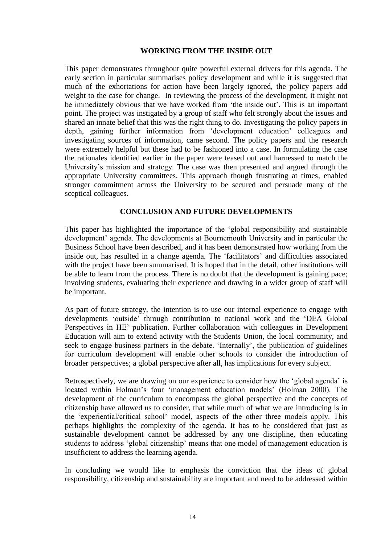### **WORKING FROM THE INSIDE OUT**

This paper demonstrates throughout quite powerful external drivers for this agenda. The early section in particular summarises policy development and while it is suggested that much of the exhortations for action have been largely ignored, the policy papers add weight to the case for change. In reviewing the process of the development, it might not be immediately obvious that we have worked from 'the inside out'. This is an important point. The project was instigated by a group of staff who felt strongly about the issues and shared an innate belief that this was the right thing to do. Investigating the policy papers in depth, gaining further information from 'development education' colleagues and investigating sources of information, came second. The policy papers and the research were extremely helpful but these had to be fashioned into a case. In formulating the case the rationales identified earlier in the paper were teased out and harnessed to match the University's mission and strategy. The case was then presented and argued through the appropriate University committees. This approach though frustrating at times, enabled stronger commitment across the University to be secured and persuade many of the sceptical colleagues.

### **CONCLUSION AND FUTURE DEVELOPMENTS**

This paper has highlighted the importance of the 'global responsibility and sustainable development' agenda. The developments at Bournemouth University and in particular the Business School have been described, and it has been demonstrated how working from the inside out, has resulted in a change agenda. The 'facilitators' and difficulties associated with the project have been summarised. It is hoped that in the detail, other institutions will be able to learn from the process. There is no doubt that the development is gaining pace; involving students, evaluating their experience and drawing in a wider group of staff will be important.

As part of future strategy, the intention is to use our internal experience to engage with developments 'outside' through contribution to national work and the 'DEA Global Perspectives in HE' publication. Further collaboration with colleagues in Development Education will aim to extend activity with the Students Union, the local community, and seek to engage business partners in the debate. 'Internally', the publication of guidelines for curriculum development will enable other schools to consider the introduction of broader perspectives; a global perspective after all, has implications for every subject.

Retrospectively, we are drawing on our experience to consider how the 'global agenda' is located within Holman's four 'management education models' (Holman 2000). The development of the curriculum to encompass the global perspective and the concepts of citizenship have allowed us to consider, that while much of what we are introducing is in the 'experiential/critical school' model, aspects of the other three models apply. This perhaps highlights the complexity of the agenda. It has to be considered that just as sustainable development cannot be addressed by any one discipline, then educating students to address 'global citizenship' means that one model of management education is insufficient to address the learning agenda.

In concluding we would like to emphasis the conviction that the ideas of global responsibility, citizenship and sustainability are important and need to be addressed within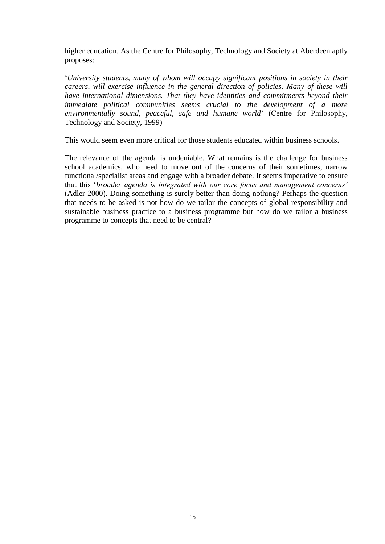higher education. As the Centre for Philosophy, Technology and Society at Aberdeen aptly proposes:

'*University students, many of whom will occupy significant positions in society in their careers, will exercise influence in the general direction of policies. Many of these will have international dimensions. That they have identities and commitments beyond their immediate political communities seems crucial to the development of a more environmentally sound, peaceful, safe and humane world*' (Centre for Philosophy, Technology and Society, 1999)

This would seem even more critical for those students educated within business schools.

The relevance of the agenda is undeniable. What remains is the challenge for business school academics, who need to move out of the concerns of their sometimes, narrow functional/specialist areas and engage with a broader debate. It seems imperative to ensure that this '*broader agenda is integrated with our core focus and management concerns'* (Adler 2000). Doing something is surely better than doing nothing? Perhaps the question that needs to be asked is not how do we tailor the concepts of global responsibility and sustainable business practice to a business programme but how do we tailor a business programme to concepts that need to be central?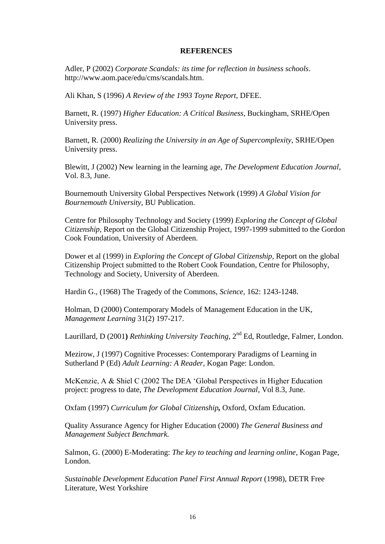#### **REFERENCES**

Adler, P (2002) *Corporate Scandals: its time for reflection in business schools*. http://www.aom.pace/edu/cms/scandals.htm.

Ali Khan, S (1996) *A Review of the 1993 Toyne Report*, DFEE.

Barnett, R. (1997) *Higher Education: A Critical Business*, Buckingham, SRHE/Open University press.

Barnett, R. (2000) *Realizing the University in an Age of Supercomplexity*, SRHE/Open University press.

Blewitt, J (2002) New learning in the learning age, *The Development Education Journal*, Vol. 8.3, June.

Bournemouth University Global Perspectives Network (1999) *A Global Vision for Bournemouth University*, BU Publication.

Centre for Philosophy Technology and Society (1999) *Exploring the Concept of Global Citizenship*, Report on the Global Citizenship Project, 1997-1999 submitted to the Gordon Cook Foundation, University of Aberdeen.

Dower et al (1999) in *Exploring the Concept of Global Citizenship*, Report on the global Citizenship Project submitted to the Robert Cook Foundation, Centre for Philosophy, Technology and Society, University of Aberdeen.

Hardin G., (1968) The Tragedy of the Commons, *Science*, 162: 1243-1248.

Holman, D (2000) Contemporary Models of Management Education in the UK, *Management Learning* 31(2) 197-217.

Laurillard, D (2001) *Rethinking University Teaching*, 2<sup>nd</sup> Ed, Routledge, Falmer, London.

Mezirow, J (1997) Cognitive Processes: Contemporary Paradigms of Learning in Sutherland P (Ed) *Adult Learning: A Reader*, Kogan Page: London.

McKenzie, A & Shiel C (2002 The DEA 'Global Perspectives in Higher Education project: progress to date, *The Development Education Journal*, Vol 8.3, June.

Oxfam (1997) *Curriculum for Global Citizenship,* Oxford, Oxfam Education.

Quality Assurance Agency for Higher Education (2000) *The General Business and Management Subject Benchmark.*

Salmon, G. (2000) E-Moderating: *The key to teaching and learning online*, Kogan Page, London.

*Sustainable Development Education Panel First Annual Report* (1998), DETR Free Literature, West Yorkshire